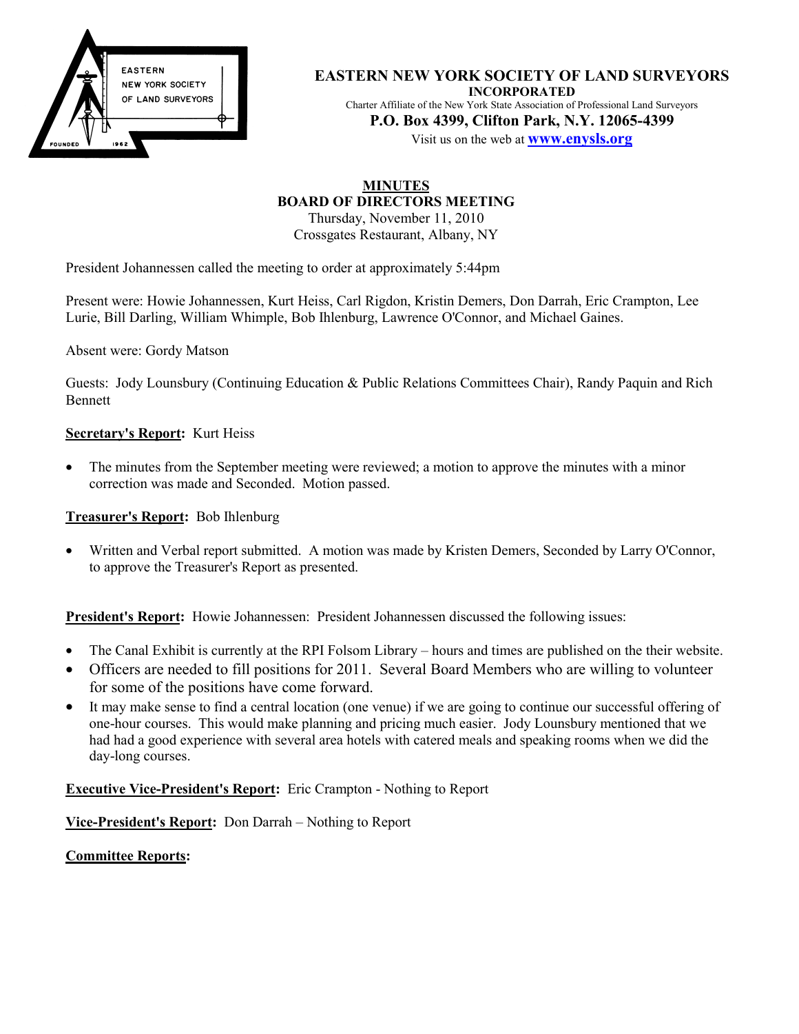

**EASTERN NEW YORK SOCIETY OF LAND SURVEYORS INCORPORATED** Charter Affiliate of the New York State Association of Professional Land Surveyors **P.O. Box 4399, Clifton Park, N.Y. 12065-4399**

Visit us on the web at **www.enysls.org**

# **MINUTES BOARD OF DIRECTORS MEETING**

Thursday, November 11, 2010 Crossgates Restaurant, Albany, NY

President Johannessen called the meeting to order at approximately 5:44pm

Present were: Howie Johannessen, Kurt Heiss, Carl Rigdon, Kristin Demers, Don Darrah, Eric Crampton, Lee Lurie, Bill Darling, William Whimple, Bob Ihlenburg, Lawrence O'Connor, and Michael Gaines.

Absent were: Gordy Matson

Guests: Jody Lounsbury (Continuing Education & Public Relations Committees Chair), Randy Paquin and Rich Bennett

## **Secretary's Report:** Kurt Heiss

• The minutes from the September meeting were reviewed; a motion to approve the minutes with a minor correction was made and Seconded. Motion passed.

**Treasurer's Report:** Bob Ihlenburg

• Written and Verbal report submitted. A motion was made by Kristen Demers, Seconded by Larry O'Connor, to approve the Treasurer's Report as presented.

**President's Report:** Howie Johannessen: President Johannessen discussed the following issues:

- The Canal Exhibit is currently at the RPI Folsom Library hours and times are published on the their website.
- Officers are needed to fill positions for 2011. Several Board Members who are willing to volunteer for some of the positions have come forward.
- It may make sense to find a central location (one venue) if we are going to continue our successful offering of one-hour courses. This would make planning and pricing much easier. Jody Lounsbury mentioned that we had had a good experience with several area hotels with catered meals and speaking rooms when we did the day-long courses.

**Executive Vice-President's Report:** Eric Crampton - Nothing to Report

**Vice-President's Report:** Don Darrah – Nothing to Report

**Committee Reports:**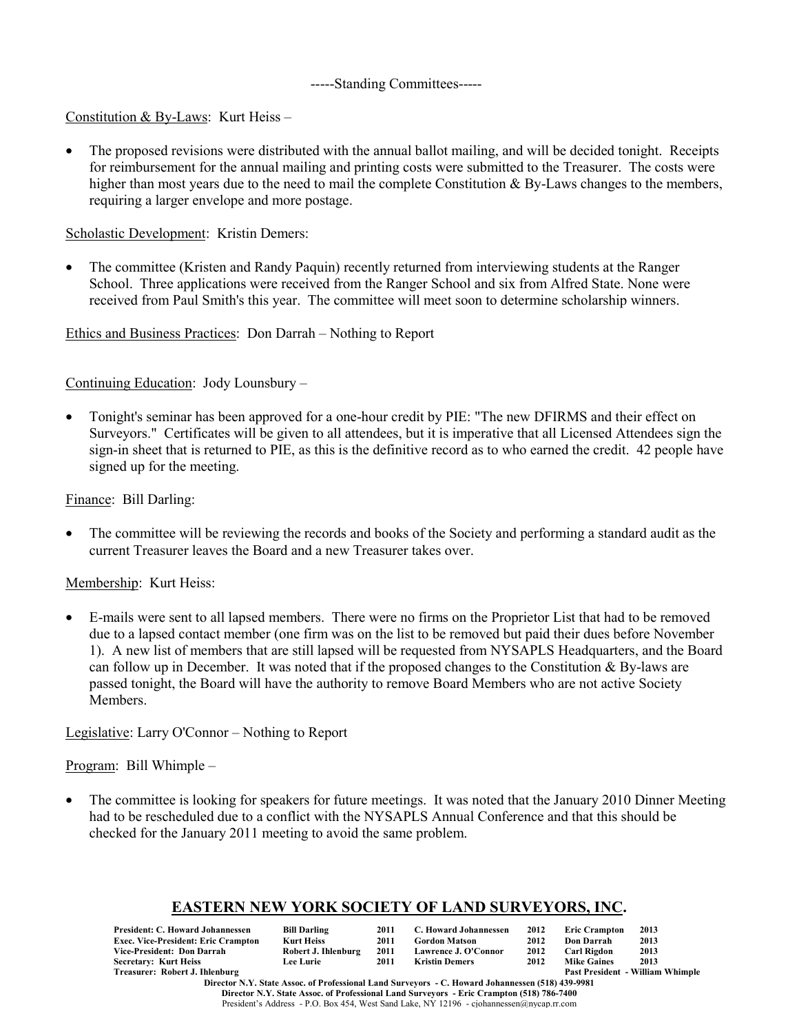#### -----Standing Committees-----

Constitution & By-Laws: Kurt Heiss –

• The proposed revisions were distributed with the annual ballot mailing, and will be decided tonight. Receipts for reimbursement for the annual mailing and printing costs were submitted to the Treasurer. The costs were higher than most years due to the need to mail the complete Constitution & By-Laws changes to the members, requiring a larger envelope and more postage.

Scholastic Development: Kristin Demers:

• The committee (Kristen and Randy Paquin) recently returned from interviewing students at the Ranger School. Three applications were received from the Ranger School and six from Alfred State. None were received from Paul Smith's this year. The committee will meet soon to determine scholarship winners.

Ethics and Business Practices: Don Darrah – Nothing to Report

Continuing Education: Jody Lounsbury –

• Tonight's seminar has been approved for a one-hour credit by PIE: "The new DFIRMS and their effect on Surveyors." Certificates will be given to all attendees, but it is imperative that all Licensed Attendees sign the sign-in sheet that is returned to PIE, as this is the definitive record as to who earned the credit. 42 people have signed up for the meeting.

Finance: Bill Darling:

• The committee will be reviewing the records and books of the Society and performing a standard audit as the current Treasurer leaves the Board and a new Treasurer takes over.

## Membership: Kurt Heiss:

• E-mails were sent to all lapsed members. There were no firms on the Proprietor List that had to be removed due to a lapsed contact member (one firm was on the list to be removed but paid their dues before November 1). A new list of members that are still lapsed will be requested from NYSAPLS Headquarters, and the Board can follow up in December. It was noted that if the proposed changes to the Constitution & By-laws are passed tonight, the Board will have the authority to remove Board Members who are not active Society Members.

Legislative: Larry O'Connor – Nothing to Report

Program: Bill Whimple –

• The committee is looking for speakers for future meetings. It was noted that the January 2010 Dinner Meeting had to be rescheduled due to a conflict with the NYSAPLS Annual Conference and that this should be checked for the January 2011 meeting to avoid the same problem.

# **EASTERN NEW YORK SOCIETY OF LAND SURVEYORS, INC.**

| President: C. Howard Johannessen           | <b>Bill Darling</b> | 2011 | C. Howard Johannessen | 2012 | <b>Eric Crampton</b>                    | 2013 |  |
|--------------------------------------------|---------------------|------|-----------------------|------|-----------------------------------------|------|--|
| <b>Exec. Vice-President: Eric Crampton</b> | <b>Kurt Heiss</b>   | 2011 | <b>Gordon Matson</b>  | 2012 | Don Darrah                              | 2013 |  |
| Vice-President: Don Darrah                 | Robert J. Ihlenburg | 2011 | Lawrence J. O'Connor  | 2012 | Carl Rigdon                             | 2013 |  |
| <b>Secretary: Kurt Heiss</b>               | <b>Lee Lurie</b>    | 2011 | <b>Kristin Demers</b> | 2012 | <b>Mike Gaines</b>                      | 2013 |  |
| Treasurer: Robert J. Ihlenburg             |                     |      |                       |      | <b>Past President - William Whimple</b> |      |  |
|                                            |                     |      |                       |      |                                         |      |  |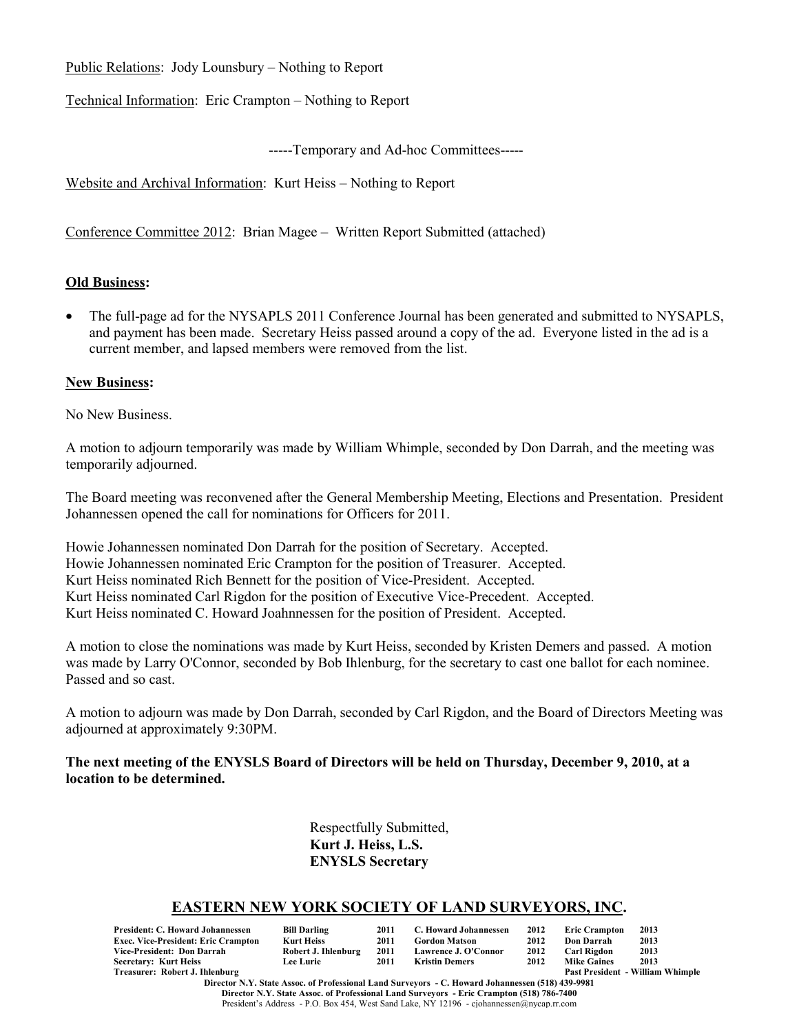Public Relations: Jody Lounsbury – Nothing to Report

Technical Information: Eric Crampton – Nothing to Report

-----Temporary and Ad-hoc Committees-----

Website and Archival Information: Kurt Heiss – Nothing to Report

Conference Committee 2012: Brian Magee – Written Report Submitted (attached)

## **Old Business:**

• The full-page ad for the NYSAPLS 2011 Conference Journal has been generated and submitted to NYSAPLS, and payment has been made. Secretary Heiss passed around a copy of the ad. Everyone listed in the ad is a current member, and lapsed members were removed from the list.

## **New Business:**

No New Business.

A motion to adjourn temporarily was made by William Whimple, seconded by Don Darrah, and the meeting was temporarily adjourned.

The Board meeting was reconvened after the General Membership Meeting, Elections and Presentation. President Johannessen opened the call for nominations for Officers for 2011.

Howie Johannessen nominated Don Darrah for the position of Secretary. Accepted. Howie Johannessen nominated Eric Crampton for the position of Treasurer. Accepted. Kurt Heiss nominated Rich Bennett for the position of Vice-President. Accepted. Kurt Heiss nominated Carl Rigdon for the position of Executive Vice-Precedent. Accepted. Kurt Heiss nominated C. Howard Joahnnessen for the position of President. Accepted.

A motion to close the nominations was made by Kurt Heiss, seconded by Kristen Demers and passed. A motion was made by Larry O'Connor, seconded by Bob Ihlenburg, for the secretary to cast one ballot for each nominee. Passed and so cast.

A motion to adjourn was made by Don Darrah, seconded by Carl Rigdon, and the Board of Directors Meeting was adjourned at approximately 9:30PM.

## **The next meeting of the ENYSLS Board of Directors will be held on Thursday, December 9, 2010, at a location to be determined.**

Respectfully Submitted, **Kurt J. Heiss, L.S. ENYSLS Secretary**

# **EASTERN NEW YORK SOCIETY OF LAND SURVEYORS, INC.**

| President: C. Howard Johannessen    | <b>Bill Darling</b> | 2011 | C. Howard Johannessen | 2012 | <b>Eric Crampton</b> | 2013                                    |
|-------------------------------------|---------------------|------|-----------------------|------|----------------------|-----------------------------------------|
| Exec. Vice-President: Eric Crampton | Kurt Heiss          | 2011 | <b>Gordon Matson</b>  | 2012 | Don Darrah           | 2013                                    |
| Vice-President: Don Darrah          | Robert J. Ihlenburg | 2011 | Lawrence J. O'Connor  | 2012 | Carl Rigdon          | 2013                                    |
| Secretary: Kurt Heiss               | <b>Lee Lurie</b>    | 2011 | Kristin Demers        | 2012 | <b>Mike Gaines</b>   | 2013                                    |
| Treasurer: Robert J. Ihlenburg      |                     |      |                       |      |                      | <b>Past President - William Whimple</b> |

**Director N.Y. State Assoc. of Professional Land Surveyors - C. Howard Johannessen (518) 439-9981 Director N.Y. State Assoc. of Professional Land Surveyors - Eric Crampton (518) 786-7400** President's Address - P.O. Box 454, West Sand Lake, NY 12196 - cjohannessen@nycap.rr.com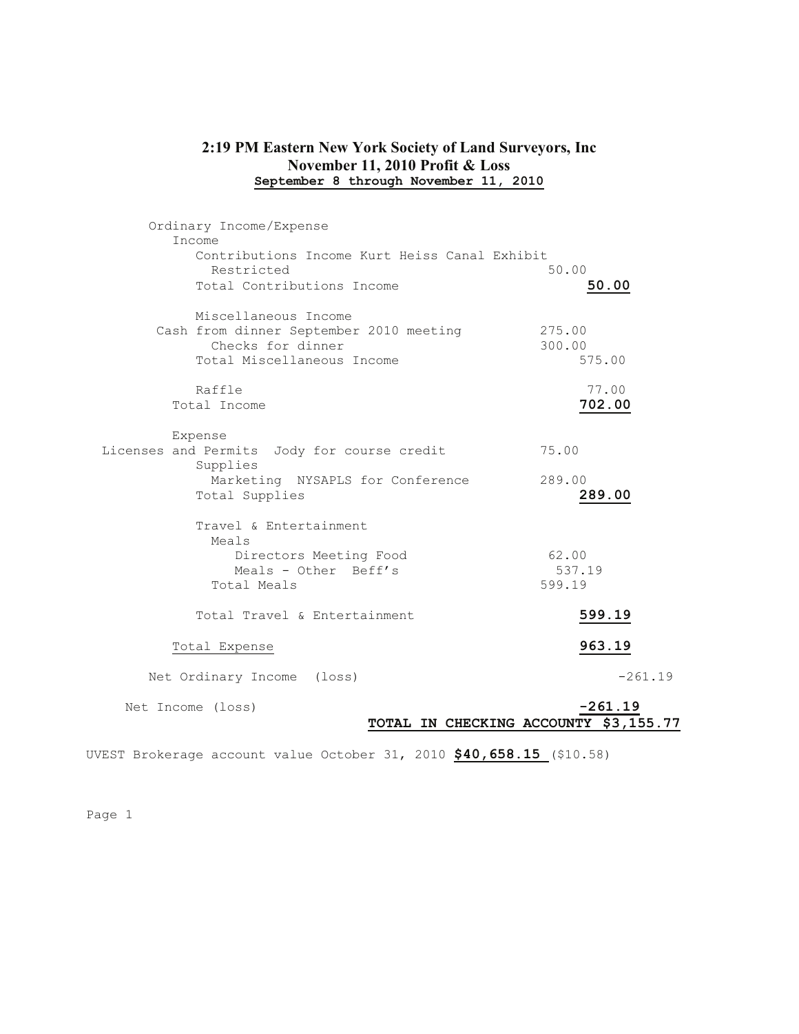# **2:19 PM Eastern New York Society of Land Surveyors, Inc November 11, 2010 Profit & Loss September 8 through November 11, 2010**

| Ordinary Income/Expense                       |                                       |
|-----------------------------------------------|---------------------------------------|
| Income                                        |                                       |
| Contributions Income Kurt Heiss Canal Exhibit |                                       |
| Restricted                                    | 50.00                                 |
| Total Contributions Income                    | 50.00                                 |
| Miscellaneous Income                          |                                       |
| Cash from dinner September 2010 meeting       | 275.00                                |
| Checks for dinner                             | 300.00                                |
| Total Miscellaneous Income                    | 575.00                                |
| Raffle                                        | 77.00                                 |
| Total Income                                  | 702.00                                |
| Expense                                       |                                       |
| Licenses and Permits Jody for course credit   | 75.00                                 |
| Supplies                                      |                                       |
| Marketing NYSAPLS for Conference              | 289.00                                |
| Total Supplies                                | 289.00                                |
| Travel & Entertainment                        |                                       |
| Meals                                         |                                       |
| Directors Meeting Food                        | 62.00                                 |
| Meals - Other Beff's                          | 537.19                                |
| Total Meals                                   | 599.19                                |
| Total Travel & Entertainment                  | 599.19                                |
|                                               |                                       |
| Total Expense                                 | 963.19                                |
| Net Ordinary Income (loss)                    | $-261.19$                             |
| Net Income (loss)                             | $-261.19$                             |
|                                               | TOTAL IN CHECKING ACCOUNTY \$3,155.77 |
|                                               |                                       |

UVEST Brokerage account value October 31, 2010 **\$40,658.15** (\$10.58)

Page 1